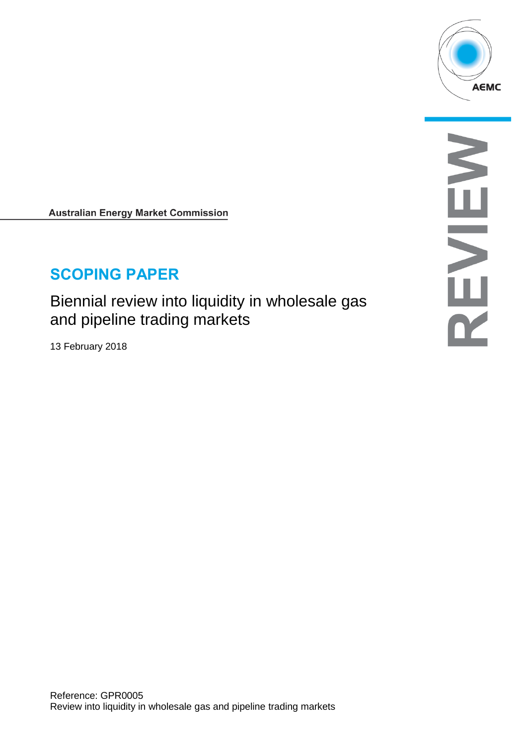

**Australian Energy Market Commission** 

# **SCOPING PAPER**

Biennial review into liquidity in wholesale gas and pipeline trading markets

13 February 2018

NENEY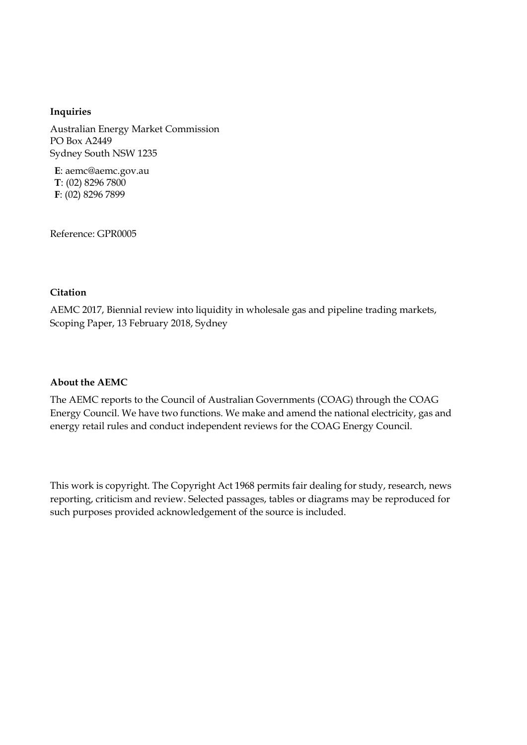#### **Inquiries**

Australian Energy Market Commission PO Box A2449 Sydney South NSW 1235

**E**: aemc@aemc.gov.au **T**: (02) 8296 7800 **F**: (02) 8296 7899

Reference: GPR0005

#### **Citation**

AEMC 2017, Biennial review into liquidity in wholesale gas and pipeline trading markets, Scoping Paper, 13 February 2018, Sydney

#### **About the AEMC**

The AEMC reports to the Council of Australian Governments (COAG) through the COAG Energy Council. We have two functions. We make and amend the national electricity, gas and energy retail rules and conduct independent reviews for the COAG Energy Council.

This work is copyright. The Copyright Act 1968 permits fair dealing for study, research, news reporting, criticism and review. Selected passages, tables or diagrams may be reproduced for such purposes provided acknowledgement of the source is included.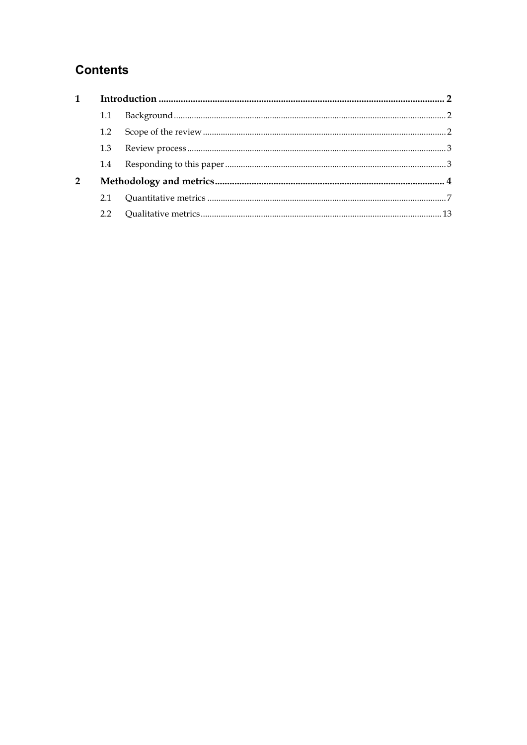## **Contents**

| 1.1            |  |  |  |
|----------------|--|--|--|
| 1.2            |  |  |  |
| 1.3            |  |  |  |
| $1.4^{\circ}$  |  |  |  |
| $\overline{2}$ |  |  |  |
| 2.1            |  |  |  |
| 22             |  |  |  |
|                |  |  |  |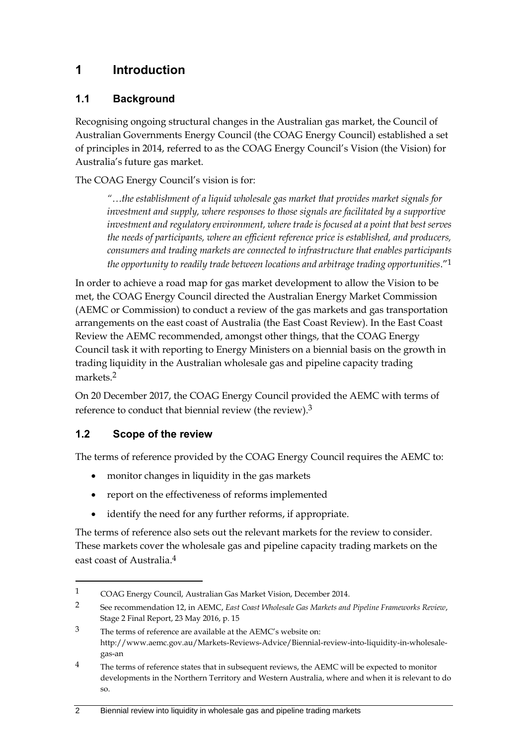## <span id="page-3-0"></span>**1 Introduction**

#### <span id="page-3-1"></span>**1.1 Background**

Recognising ongoing structural changes in the Australian gas market, the Council of Australian Governments Energy Council (the COAG Energy Council) established a set of principles in 2014, referred to as the COAG Energy Council's Vision (the Vision) for Australia's future gas market.

The COAG Energy Council's vision is for:

*"…the establishment of a liquid wholesale gas market that provides market signals for investment and supply, where responses to those signals are facilitated by a supportive investment and regulatory environment, where trade is focused at a point that best serves the needs of participants, where an efficient reference price is established, and producers, consumers and trading markets are connected to infrastructure that enables participants the opportunity to readily trade between locations and arbitrage trading opportunities*."1

In order to achieve a road map for gas market development to allow the Vision to be met, the COAG Energy Council directed the Australian Energy Market Commission (AEMC or Commission) to conduct a review of the gas markets and gas transportation arrangements on the east coast of Australia (the East Coast Review). In the East Coast Review the AEMC recommended, amongst other things, that the COAG Energy Council task it with reporting to Energy Ministers on a biennial basis on the growth in trading liquidity in the Australian wholesale gas and pipeline capacity trading markets<sup>2</sup>

On 20 December 2017, the COAG Energy Council provided the AEMC with terms of reference to conduct that biennial review (the review).<sup>3</sup>

#### <span id="page-3-2"></span>**1.2 Scope of the review**

<u>.</u>

The terms of reference provided by the COAG Energy Council requires the AEMC to:

- monitor changes in liquidity in the gas markets
- report on the effectiveness of reforms implemented
- identify the need for any further reforms, if appropriate.

The terms of reference also sets out the relevant markets for the review to consider. These markets cover the wholesale gas and pipeline capacity trading markets on the east coast of Australia.4

<sup>1</sup> COAG Energy Council, Australian Gas Market Vision, December 2014.

<sup>2</sup> See recommendation 12, in AEMC, *East Coast Wholesale Gas Markets and Pipeline Frameworks Review*, Stage 2 Final Report, 23 May 2016, p. 15

<sup>3</sup> The terms of reference are available at the AEMC's website on: http://www.aemc.gov.au/Markets-Reviews-Advice/Biennial-review-into-liquidity-in-wholesalegas-an

<sup>&</sup>lt;sup>4</sup> The terms of reference states that in subsequent reviews, the AEMC will be expected to monitor developments in the Northern Territory and Western Australia, where and when it is relevant to do so.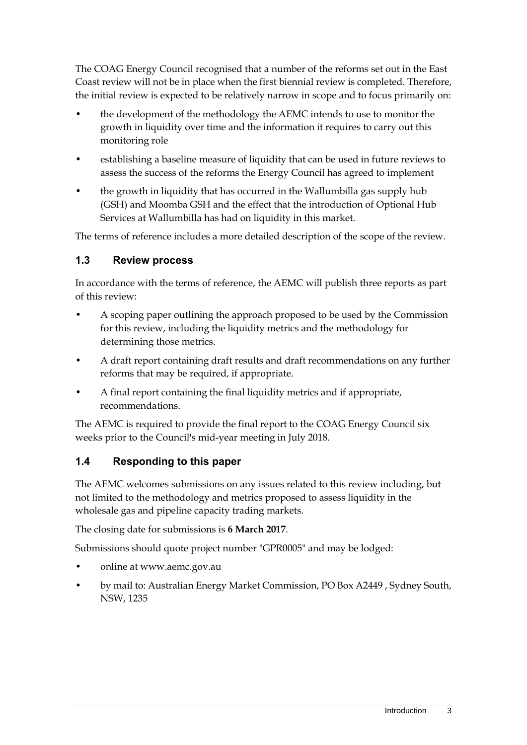The COAG Energy Council recognised that a number of the reforms set out in the East Coast review will not be in place when the first biennial review is completed. Therefore, the initial review is expected to be relatively narrow in scope and to focus primarily on:

- the development of the methodology the AEMC intends to use to monitor the growth in liquidity over time and the information it requires to carry out this monitoring role
- establishing a baseline measure of liquidity that can be used in future reviews to assess the success of the reforms the Energy Council has agreed to implement
- the growth in liquidity that has occurred in the Wallumbilla gas supply hub (GSH) and Moomba GSH and the effect that the introduction of Optional Hub Services at Wallumbilla has had on liquidity in this market.

The terms of reference includes a more detailed description of the scope of the review.

#### <span id="page-4-0"></span>**1.3 Review process**

In accordance with the terms of reference, the AEMC will publish three reports as part of this review:

- A scoping paper outlining the approach proposed to be used by the Commission for this review, including the liquidity metrics and the methodology for determining those metrics.
- A draft report containing draft results and draft recommendations on any further reforms that may be required, if appropriate.
- A final report containing the final liquidity metrics and if appropriate, recommendations.

The AEMC is required to provide the final report to the COAG Energy Council six weeks prior to the Council's mid-year meeting in July 2018.

#### <span id="page-4-1"></span>**1.4 Responding to this paper**

The AEMC welcomes submissions on any issues related to this review including, but not limited to the methodology and metrics proposed to assess liquidity in the wholesale gas and pipeline capacity trading markets.

The closing date for submissions is **6 March 2017**.

Submissions should quote project number "GPR0005" and may be lodged:

- online at www.aemc.gov.au
- by mail to: Australian Energy Market Commission, PO Box A2449 , Sydney South, NSW, 1235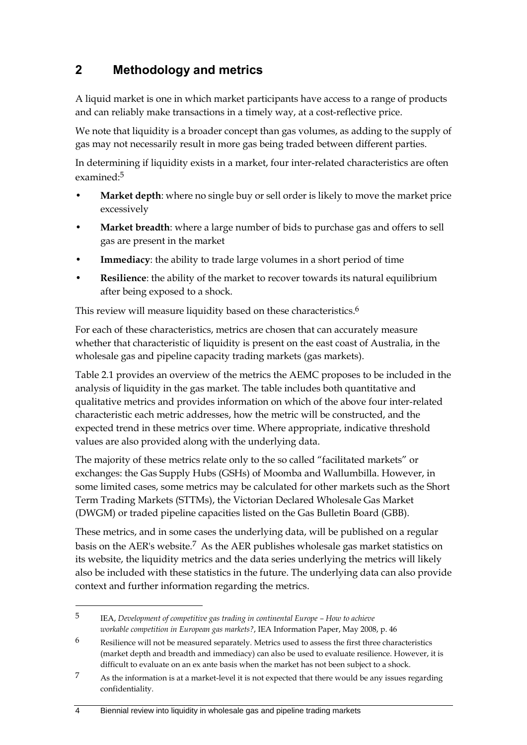## <span id="page-5-0"></span>**2 Methodology and metrics**

A liquid market is one in which market participants have access to a range of products and can reliably make transactions in a timely way, at a cost-reflective price.

We note that liquidity is a broader concept than gas volumes, as adding to the supply of gas may not necessarily result in more gas being traded between different parties.

In determining if liquidity exists in a market, four inter-related characteristics are often examined:5

- **Market depth**: where no single buy or sell order is likely to move the market price excessively
- **Market breadth**: where a large number of bids to purchase gas and offers to sell gas are present in the market
- **Immediacy**: the ability to trade large volumes in a short period of time
- **Resilience**: the ability of the market to recover towards its natural equilibrium after being exposed to a shock.

This review will measure liquidity based on these characteristics.<sup>6</sup>

For each of these characteristics, metrics are chosen that can accurately measure whether that characteristic of liquidity is present on the east coast of Australia, in the wholesale gas and pipeline capacity trading markets (gas markets).

Table 2.1 provides an overview of the metrics the AEMC proposes to be included in the analysis of liquidity in the gas market. The table includes both quantitative and qualitative metrics and provides information on which of the above four inter-related characteristic each metric addresses, how the metric will be constructed, and the expected trend in these metrics over time. Where appropriate, indicative threshold values are also provided along with the underlying data.

The majority of these metrics relate only to the so called "facilitated markets" or exchanges: the Gas Supply Hubs (GSHs) of Moomba and Wallumbilla. However, in some limited cases, some metrics may be calculated for other markets such as the Short Term Trading Markets (STTMs), the Victorian Declared Wholesale Gas Market (DWGM) or traded pipeline capacities listed on the Gas Bulletin Board (GBB).

These metrics, and in some cases the underlying data, will be published on a regular basis on the AER's website.7 As the AER publishes wholesale gas market statistics on its website, the liquidity metrics and the data series underlying the metrics will likely also be included with these statistics in the future. The underlying data can also provide context and further information regarding the metrics.

4 Biennial review into liquidity in wholesale gas and pipeline trading markets

<u>.</u>

<sup>5</sup> IEA, *Development of competitive gas trading in continental Europe – How to achieve workable competition in European gas markets?*, IEA Information Paper, May 2008, p. 46

 $6$  Resilience will not be measured separately. Metrics used to assess the first three characteristics (market depth and breadth and immediacy) can also be used to evaluate resilience. However, it is difficult to evaluate on an ex ante basis when the market has not been subject to a shock.

<sup>7</sup> As the information is at a market-level it is not expected that there would be any issues regarding confidentiality.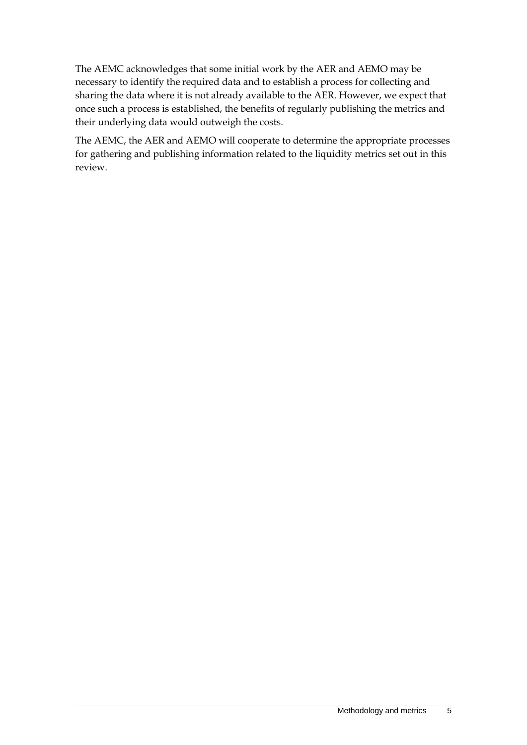The AEMC acknowledges that some initial work by the AER and AEMO may be necessary to identify the required data and to establish a process for collecting and sharing the data where it is not already available to the AER. However, we expect that once such a process is established, the benefits of regularly publishing the metrics and their underlying data would outweigh the costs.

The AEMC, the AER and AEMO will cooperate to determine the appropriate processes for gathering and publishing information related to the liquidity metrics set out in this review.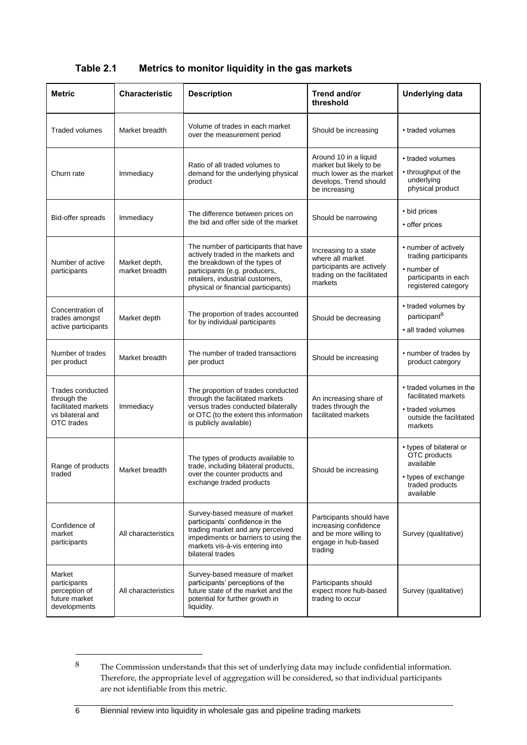| <b>Metric</b>                                                                            | <b>Characteristic</b>           | <b>Description</b>                                                                                                                                                                                                      | Trend and/or<br>threshold                                                                                               | <b>Underlying data</b>                                                                                      |
|------------------------------------------------------------------------------------------|---------------------------------|-------------------------------------------------------------------------------------------------------------------------------------------------------------------------------------------------------------------------|-------------------------------------------------------------------------------------------------------------------------|-------------------------------------------------------------------------------------------------------------|
| Traded volumes                                                                           | Market breadth                  | Volume of trades in each market<br>over the measurement period                                                                                                                                                          | Should be increasing                                                                                                    | • traded volumes                                                                                            |
| Churn rate                                                                               | Immediacy                       | Ratio of all traded volumes to<br>demand for the underlying physical<br>product                                                                                                                                         | Around 10 in a liquid<br>market but likely to be<br>much lower as the market<br>develops. Trend should<br>be increasing | • traded volumes<br>• throughput of the<br>underlying<br>physical product                                   |
| Bid-offer spreads                                                                        | Immediacy                       | The difference between prices on<br>the bid and offer side of the market                                                                                                                                                | Should be narrowing                                                                                                     | • bid prices<br>• offer prices                                                                              |
| Number of active<br>participants                                                         | Market depth,<br>market breadth | The number of participants that have<br>actively traded in the markets and<br>the breakdown of the types of<br>participants (e.g. producers,<br>retailers, industrial customers,<br>physical or financial participants) | Increasing to a state<br>where all market<br>participants are actively<br>trading on the facilitated<br>markets         | • number of actively<br>trading participants<br>• number of<br>participants in each<br>registered category  |
| Concentration of<br>trades amongst<br>active participants                                | Market depth                    | The proportion of trades accounted<br>for by individual participants                                                                                                                                                    | Should be decreasing                                                                                                    | • traded volumes by<br>participant <sup>8</sup><br>· all traded volumes                                     |
| Number of trades<br>per product                                                          | Market breadth                  | The number of traded transactions<br>per product                                                                                                                                                                        | Should be increasing                                                                                                    | • number of trades by<br>product category                                                                   |
| Trades conducted<br>through the<br>facilitated markets<br>vs bilateral and<br>OTC trades | Immediacy                       | The proportion of trades conducted<br>through the facilitated markets<br>versus trades conducted bilaterally<br>or OTC (to the extent this information<br>is publicly available)                                        | An increasing share of<br>trades through the<br>facilitated markets                                                     | • traded volumes in the<br>facilitated markets<br>• traded volumes<br>outside the facilitated<br>markets    |
| Range of products<br>traded                                                              | Market breadth                  | The types of products available to<br>trade, including bilateral products,<br>over the counter products and<br>exchange traded products                                                                                 | Should be increasing                                                                                                    | • types of bilateral or<br>OTC products<br>available<br>• types of exchange<br>traded products<br>available |
| Confidence of<br>market<br>participants                                                  | All characteristics             | Survey-based measure of market<br>participants' confidence in the<br>trading market and any perceived<br>impediments or barriers to using the<br>markets vis-à-vis entering into<br>bilateral trades                    | Participants should have<br>increasing confidence<br>and be more willing to<br>engage in hub-based<br>trading           | Survey (qualitative)                                                                                        |
| Market<br>participants<br>perception of<br>future market<br>developments                 | All characteristics             | Survey-based measure of market<br>participants' perceptions of the<br>future state of the market and the<br>potential for further growth in<br>liquidity.                                                               | Participants should<br>expect more hub-based<br>trading to occur                                                        | Survey (qualitative)                                                                                        |

#### **Table 2.1 Metrics to monitor liquidity in the gas markets**

<u>.</u>

<sup>8</sup> The Commission understands that this set of underlying data may include confidential information. Therefore, the appropriate level of aggregation will be considered, so that individual participants are not identifiable from this metric.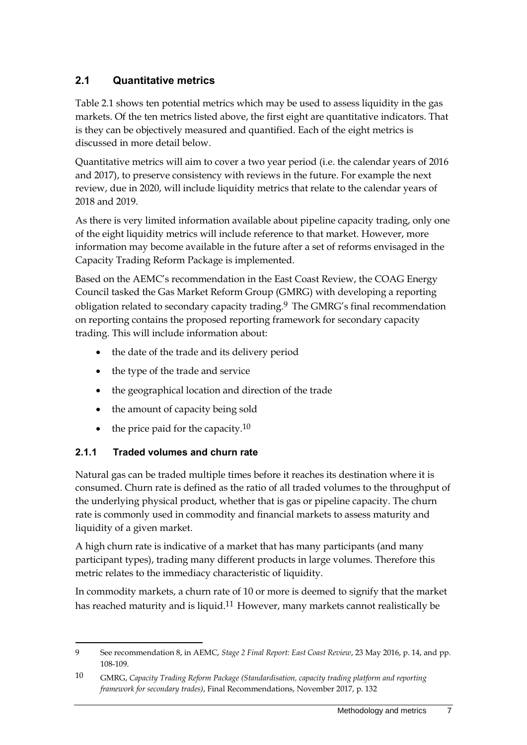#### <span id="page-8-0"></span>**2.1 Quantitative metrics**

Table 2.1 shows ten potential metrics which may be used to assess liquidity in the gas markets. Of the ten metrics listed above, the first eight are quantitative indicators. That is they can be objectively measured and quantified. Each of the eight metrics is discussed in more detail below.

Quantitative metrics will aim to cover a two year period (i.e. the calendar years of 2016 and 2017), to preserve consistency with reviews in the future. For example the next review, due in 2020, will include liquidity metrics that relate to the calendar years of 2018 and 2019.

As there is very limited information available about pipeline capacity trading, only one of the eight liquidity metrics will include reference to that market. However, more information may become available in the future after a set of reforms envisaged in the Capacity Trading Reform Package is implemented.

Based on the AEMC's recommendation in the East Coast Review, the COAG Energy Council tasked the Gas Market Reform Group (GMRG) with developing a reporting obligation related to secondary capacity trading.9 The GMRG's final recommendation on reporting contains the proposed reporting framework for secondary capacity trading. This will include information about:

- the date of the trade and its delivery period
- the type of the trade and service
- the geographical location and direction of the trade
- the amount of capacity being sold
- $\bullet$  the price paid for the capacity.<sup>10</sup>

#### **2.1.1 Traded volumes and churn rate**

1

Natural gas can be traded multiple times before it reaches its destination where it is consumed. Churn rate is defined as the ratio of all traded volumes to the throughput of the underlying physical product, whether that is gas or pipeline capacity. The churn rate is commonly used in commodity and financial markets to assess maturity and liquidity of a given market.

A high churn rate is indicative of a market that has many participants (and many participant types), trading many different products in large volumes. Therefore this metric relates to the immediacy characteristic of liquidity.

In commodity markets, a churn rate of 10 or more is deemed to signify that the market has reached maturity and is liquid.<sup>11</sup> However, many markets cannot realistically be

<sup>9</sup> See recommendation 8, in AEMC, *Stage 2 Final Report: East Coast Review*, 23 May 2016, p. 14, and pp. 108-109.

<sup>10</sup> GMRG, *Capacity Trading Reform Package (Standardisation, capacity trading platform and reporting framework for secondary trades)*, Final Recommendations, November 2017, p. 132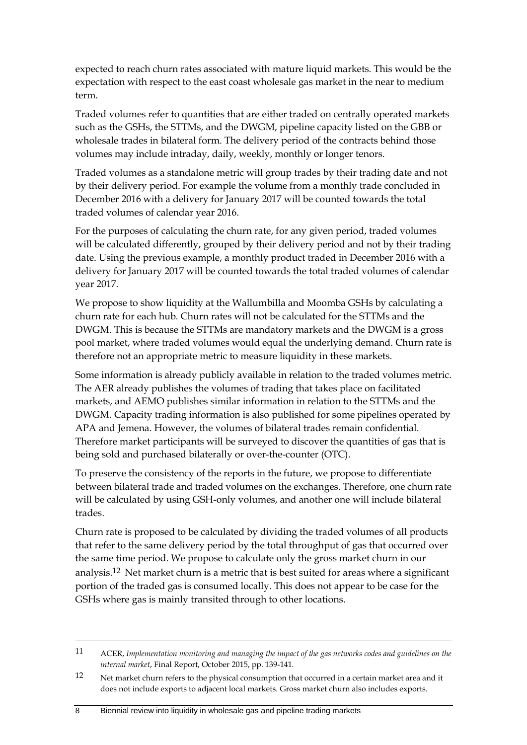expected to reach churn rates associated with mature liquid markets. This would be the expectation with respect to the east coast wholesale gas market in the near to medium term.

Traded volumes refer to quantities that are either traded on centrally operated markets such as the GSHs, the STTMs, and the DWGM, pipeline capacity listed on the GBB or wholesale trades in bilateral form. The delivery period of the contracts behind those volumes may include intraday, daily, weekly, monthly or longer tenors.

Traded volumes as a standalone metric will group trades by their trading date and not by their delivery period. For example the volume from a monthly trade concluded in December 2016 with a delivery for January 2017 will be counted towards the total traded volumes of calendar year 2016.

For the purposes of calculating the churn rate, for any given period, traded volumes will be calculated differently, grouped by their delivery period and not by their trading date. Using the previous example, a monthly product traded in December 2016 with a delivery for January 2017 will be counted towards the total traded volumes of calendar year 2017.

We propose to show liquidity at the Wallumbilla and Moomba GSHs by calculating a churn rate for each hub. Churn rates will not be calculated for the STTMs and the DWGM. This is because the STTMs are mandatory markets and the DWGM is a gross pool market, where traded volumes would equal the underlying demand. Churn rate is therefore not an appropriate metric to measure liquidity in these markets.

Some information is already publicly available in relation to the traded volumes metric. The AER already publishes the volumes of trading that takes place on facilitated markets, and AEMO publishes similar information in relation to the STTMs and the DWGM. Capacity trading information is also published for some pipelines operated by APA and Jemena. However, the volumes of bilateral trades remain confidential. Therefore market participants will be surveyed to discover the quantities of gas that is being sold and purchased bilaterally or over-the-counter (OTC).

To preserve the consistency of the reports in the future, we propose to differentiate between bilateral trade and traded volumes on the exchanges. Therefore, one churn rate will be calculated by using GSH-only volumes, and another one will include bilateral trades.

Churn rate is proposed to be calculated by dividing the traded volumes of all products that refer to the same delivery period by the total throughput of gas that occurred over the same time period. We propose to calculate only the gross market churn in our analysis.12 Net market churn is a metric that is best suited for areas where a significant portion of the traded gas is consumed locally. This does not appear to be case for the GSHs where gas is mainly transited through to other locations.

<u>.</u>

<sup>11</sup> ACER, *Implementation monitoring and managing the impact of the gas networks codes and guidelines on the internal market*, Final Report, October 2015, pp. 139-141.

<sup>12</sup> Net market churn refers to the physical consumption that occurred in a certain market area and it does not include exports to adjacent local markets. Gross market churn also includes exports.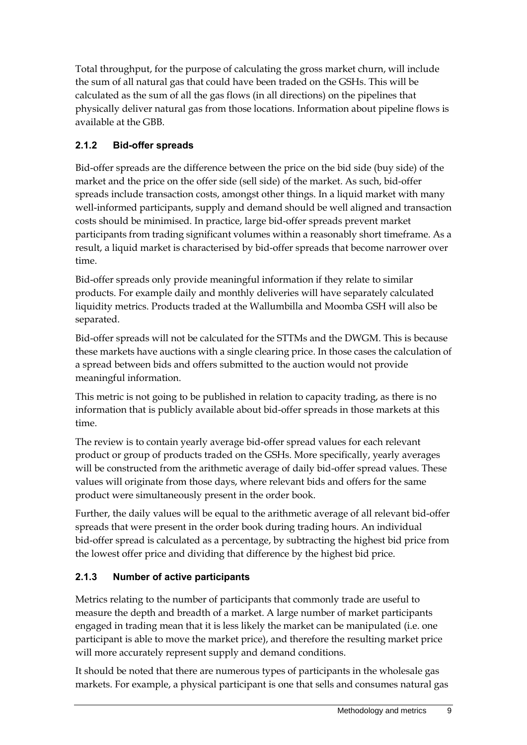Total throughput, for the purpose of calculating the gross market churn, will include the sum of all natural gas that could have been traded on the GSHs. This will be calculated as the sum of all the gas flows (in all directions) on the pipelines that physically deliver natural gas from those locations. Information about pipeline flows is available at the GBB.

### **2.1.2 Bid-offer spreads**

Bid-offer spreads are the difference between the price on the bid side (buy side) of the market and the price on the offer side (sell side) of the market. As such, bid-offer spreads include transaction costs, amongst other things. In a liquid market with many well-informed participants, supply and demand should be well aligned and transaction costs should be minimised. In practice, large bid-offer spreads prevent market participants from trading significant volumes within a reasonably short timeframe. As a result, a liquid market is characterised by bid-offer spreads that become narrower over time.

Bid-offer spreads only provide meaningful information if they relate to similar products. For example daily and monthly deliveries will have separately calculated liquidity metrics. Products traded at the Wallumbilla and Moomba GSH will also be separated.

Bid-offer spreads will not be calculated for the STTMs and the DWGM. This is because these markets have auctions with a single clearing price. In those cases the calculation of a spread between bids and offers submitted to the auction would not provide meaningful information.

This metric is not going to be published in relation to capacity trading, as there is no information that is publicly available about bid-offer spreads in those markets at this time.

The review is to contain yearly average bid-offer spread values for each relevant product or group of products traded on the GSHs. More specifically, yearly averages will be constructed from the arithmetic average of daily bid-offer spread values. These values will originate from those days, where relevant bids and offers for the same product were simultaneously present in the order book.

Further, the daily values will be equal to the arithmetic average of all relevant bid-offer spreads that were present in the order book during trading hours. An individual bid-offer spread is calculated as a percentage, by subtracting the highest bid price from the lowest offer price and dividing that difference by the highest bid price.

#### **2.1.3 Number of active participants**

Metrics relating to the number of participants that commonly trade are useful to measure the depth and breadth of a market. A large number of market participants engaged in trading mean that it is less likely the market can be manipulated (i.e. one participant is able to move the market price), and therefore the resulting market price will more accurately represent supply and demand conditions.

It should be noted that there are numerous types of participants in the wholesale gas markets. For example, a physical participant is one that sells and consumes natural gas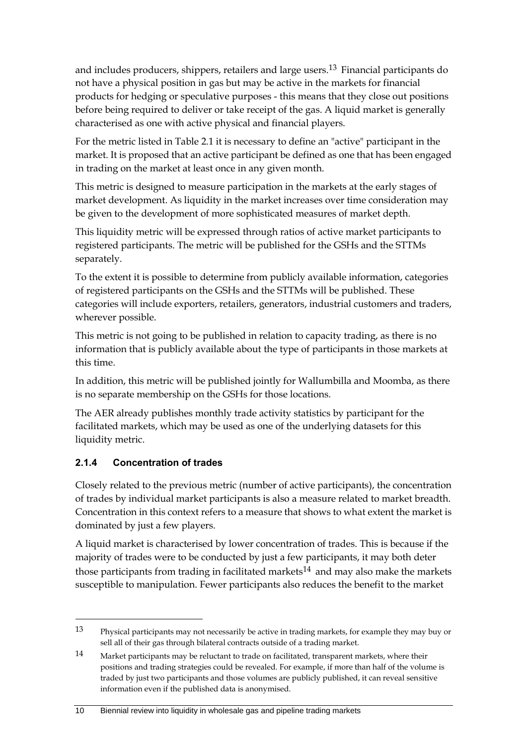and includes producers, shippers, retailers and large users.<sup>13</sup> Financial participants do not have a physical position in gas but may be active in the markets for financial products for hedging or speculative purposes - this means that they close out positions before being required to deliver or take receipt of the gas. A liquid market is generally characterised as one with active physical and financial players.

For the metric listed in Table 2.1 it is necessary to define an "active" participant in the market. It is proposed that an active participant be defined as one that has been engaged in trading on the market at least once in any given month.

This metric is designed to measure participation in the markets at the early stages of market development. As liquidity in the market increases over time consideration may be given to the development of more sophisticated measures of market depth.

This liquidity metric will be expressed through ratios of active market participants to registered participants. The metric will be published for the GSHs and the STTMs separately.

To the extent it is possible to determine from publicly available information, categories of registered participants on the GSHs and the STTMs will be published. These categories will include exporters, retailers, generators, industrial customers and traders, wherever possible.

This metric is not going to be published in relation to capacity trading, as there is no information that is publicly available about the type of participants in those markets at this time.

In addition, this metric will be published jointly for Wallumbilla and Moomba, as there is no separate membership on the GSHs for those locations.

The AER already publishes monthly trade activity statistics by participant for the facilitated markets, which may be used as one of the underlying datasets for this liquidity metric.

#### **2.1.4 Concentration of trades**

<u>.</u>

Closely related to the previous metric (number of active participants), the concentration of trades by individual market participants is also a measure related to market breadth. Concentration in this context refers to a measure that shows to what extent the market is dominated by just a few players.

A liquid market is characterised by lower concentration of trades. This is because if the majority of trades were to be conducted by just a few participants, it may both deter those participants from trading in facilitated markets<sup>14</sup> and may also make the markets susceptible to manipulation. Fewer participants also reduces the benefit to the market

<sup>13</sup> Physical participants may not necessarily be active in trading markets, for example they may buy or sell all of their gas through bilateral contracts outside of a trading market.

<sup>14</sup> Market participants may be reluctant to trade on facilitated, transparent markets, where their positions and trading strategies could be revealed. For example, if more than half of the volume is traded by just two participants and those volumes are publicly published, it can reveal sensitive information even if the published data is anonymised.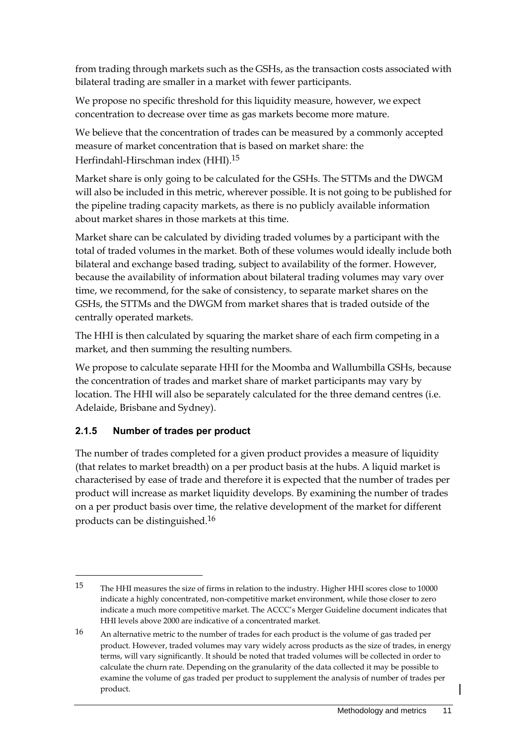from trading through markets such as the GSHs, as the transaction costs associated with bilateral trading are smaller in a market with fewer participants.

We propose no specific threshold for this liquidity measure, however, we expect concentration to decrease over time as gas markets become more mature.

We believe that the concentration of trades can be measured by a commonly accepted measure of market concentration that is based on market share: the Herfindahl-Hirschman index (HHI).15

Market share is only going to be calculated for the GSHs. The STTMs and the DWGM will also be included in this metric, wherever possible. It is not going to be published for the pipeline trading capacity markets, as there is no publicly available information about market shares in those markets at this time.

Market share can be calculated by dividing traded volumes by a participant with the total of traded volumes in the market. Both of these volumes would ideally include both bilateral and exchange based trading, subject to availability of the former. However, because the availability of information about bilateral trading volumes may vary over time, we recommend, for the sake of consistency, to separate market shares on the GSHs, the STTMs and the DWGM from market shares that is traded outside of the centrally operated markets.

The HHI is then calculated by squaring the market share of each firm competing in a market, and then summing the resulting numbers.

We propose to calculate separate HHI for the Moomba and Wallumbilla GSHs, because the concentration of trades and market share of market participants may vary by location. The HHI will also be separately calculated for the three demand centres (i.e. Adelaide, Brisbane and Sydney).

#### **2.1.5 Number of trades per product**

<u>.</u>

The number of trades completed for a given product provides a measure of liquidity (that relates to market breadth) on a per product basis at the hubs. A liquid market is characterised by ease of trade and therefore it is expected that the number of trades per product will increase as market liquidity develops. By examining the number of trades on a per product basis over time, the relative development of the market for different products can be distinguished.16

<sup>15</sup> The HHI measures the size of firms in relation to the industry. Higher HHI scores close to 10000 indicate a highly concentrated, non-competitive market environment, while those closer to zero indicate a much more competitive market. The ACCC's Merger Guideline document indicates that HHI levels above 2000 are indicative of a concentrated market.

<sup>16</sup> An alternative metric to the number of trades for each product is the volume of gas traded per product. However, traded volumes may vary widely across products as the size of trades, in energy terms, will vary significantly. It should be noted that traded volumes will be collected in order to calculate the churn rate. Depending on the granularity of the data collected it may be possible to examine the volume of gas traded per product to supplement the analysis of number of trades per product.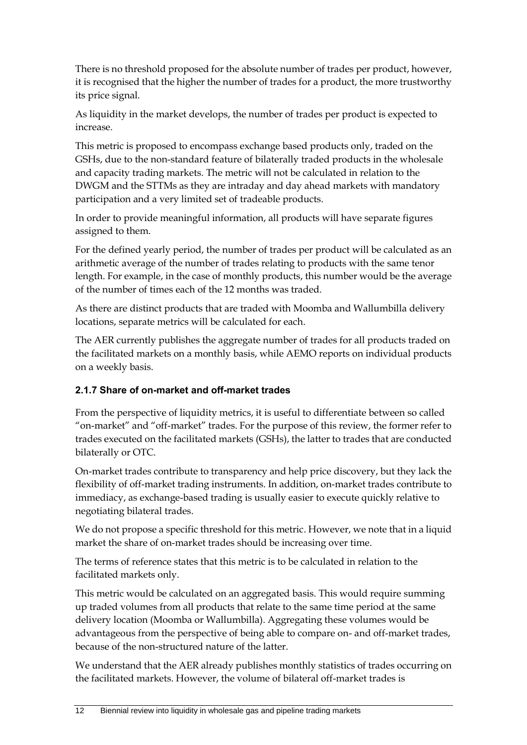There is no threshold proposed for the absolute number of trades per product, however, it is recognised that the higher the number of trades for a product, the more trustworthy its price signal.

As liquidity in the market develops, the number of trades per product is expected to increase.

This metric is proposed to encompass exchange based products only, traded on the GSHs, due to the non-standard feature of bilaterally traded products in the wholesale and capacity trading markets. The metric will not be calculated in relation to the DWGM and the STTMs as they are intraday and day ahead markets with mandatory participation and a very limited set of tradeable products.

In order to provide meaningful information, all products will have separate figures assigned to them.

For the defined yearly period, the number of trades per product will be calculated as an arithmetic average of the number of trades relating to products with the same tenor length. For example, in the case of monthly products, this number would be the average of the number of times each of the 12 months was traded.

As there are distinct products that are traded with Moomba and Wallumbilla delivery locations, separate metrics will be calculated for each.

The AER currently publishes the aggregate number of trades for all products traded on the facilitated markets on a monthly basis, while AEMO reports on individual products on a weekly basis.

#### **2.1.7 Share of on-market and off-market trades**

From the perspective of liquidity metrics, it is useful to differentiate between so called "on-market" and "off-market" trades. For the purpose of this review, the former refer to trades executed on the facilitated markets (GSHs), the latter to trades that are conducted bilaterally or OTC.

On-market trades contribute to transparency and help price discovery, but they lack the flexibility of off-market trading instruments. In addition, on-market trades contribute to immediacy, as exchange-based trading is usually easier to execute quickly relative to negotiating bilateral trades.

We do not propose a specific threshold for this metric. However, we note that in a liquid market the share of on-market trades should be increasing over time.

The terms of reference states that this metric is to be calculated in relation to the facilitated markets only.

This metric would be calculated on an aggregated basis. This would require summing up traded volumes from all products that relate to the same time period at the same delivery location (Moomba or Wallumbilla). Aggregating these volumes would be advantageous from the perspective of being able to compare on- and off-market trades, because of the non-structured nature of the latter.

We understand that the AER already publishes monthly statistics of trades occurring on the facilitated markets. However, the volume of bilateral off-market trades is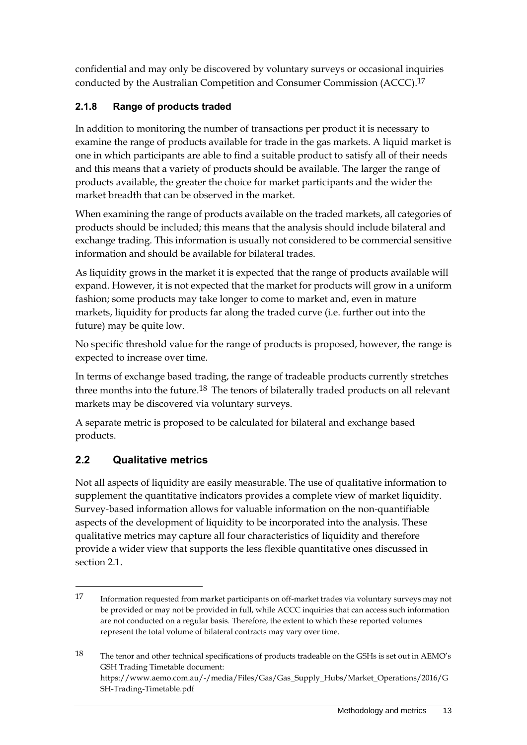confidential and may only be discovered by voluntary surveys or occasional inquiries conducted by the Australian Competition and Consumer Commission (ACCC).17

### **2.1.8 Range of products traded**

In addition to monitoring the number of transactions per product it is necessary to examine the range of products available for trade in the gas markets. A liquid market is one in which participants are able to find a suitable product to satisfy all of their needs and this means that a variety of products should be available. The larger the range of products available, the greater the choice for market participants and the wider the market breadth that can be observed in the market.

When examining the range of products available on the traded markets, all categories of products should be included; this means that the analysis should include bilateral and exchange trading. This information is usually not considered to be commercial sensitive information and should be available for bilateral trades.

As liquidity grows in the market it is expected that the range of products available will expand. However, it is not expected that the market for products will grow in a uniform fashion; some products may take longer to come to market and, even in mature markets, liquidity for products far along the traded curve (i.e. further out into the future) may be quite low.

No specific threshold value for the range of products is proposed, however, the range is expected to increase over time.

In terms of exchange based trading, the range of tradeable products currently stretches three months into the future.<sup>18</sup> The tenors of bilaterally traded products on all relevant markets may be discovered via voluntary surveys.

A separate metric is proposed to be calculated for bilateral and exchange based products.

### <span id="page-14-0"></span>**2.2 Qualitative metrics**

<u>.</u>

Not all aspects of liquidity are easily measurable. The use of qualitative information to supplement the quantitative indicators provides a complete view of market liquidity. Survey-based information allows for valuable information on the non-quantifiable aspects of the development of liquidity to be incorporated into the analysis. These qualitative metrics may capture all four characteristics of liquidity and therefore provide a wider view that supports the less flexible quantitative ones discussed in section 2.1.

<sup>17</sup> Information requested from market participants on off-market trades via voluntary surveys may not be provided or may not be provided in full, while ACCC inquiries that can access such information are not conducted on a regular basis. Therefore, the extent to which these reported volumes represent the total volume of bilateral contracts may vary over time.

<sup>18</sup> The tenor and other technical specifications of products tradeable on the GSHs is set out in AEMO's GSH Trading Timetable document: https://www.aemo.com.au/-/media/Files/Gas/Gas\_Supply\_Hubs/Market\_Operations/2016/G SH-Trading-Timetable.pdf